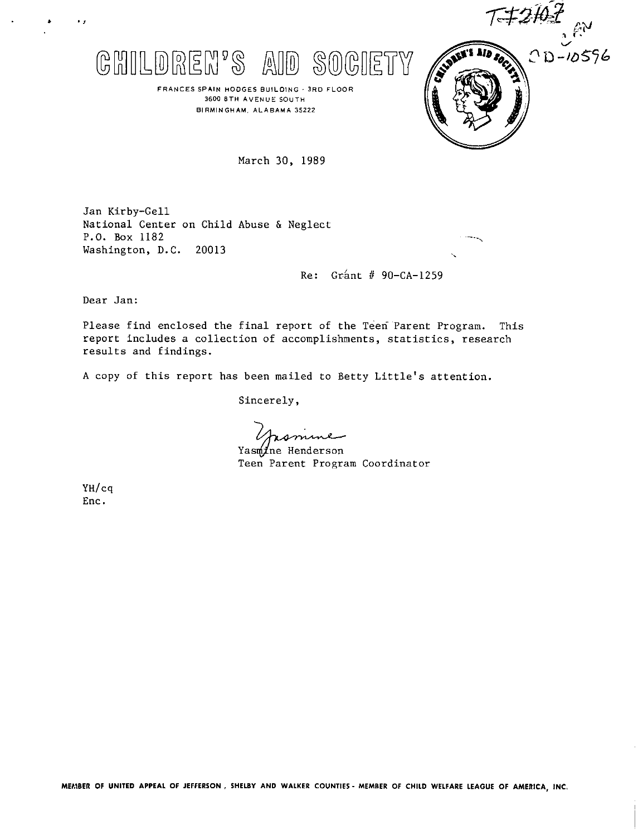



**FRAN CE5 SPAIN HODGES 8uILOIN' 3RD FLOOR 3600 8TH AVENUE SOUTH BIRMINGHAM. ALABAMA 35222**

March 30, 1989

Jan Kirby-Gell National Center on Child Abuse & Neglect P.O. BOX 1182 Washington, D.C. 20013

Re: Grant  $#$  90-CA-1259

Dear Jan:

Please find enclosed the final report of the Teen Parent Program. This report includes a collection of accomplishments, statistics, research results and findings.

A copy of this report has been mailed to Betty Little's attention.

Sincerely,

omme

Yasmine Henderson Teen Parent Program Coordinator

YH/cq Enc.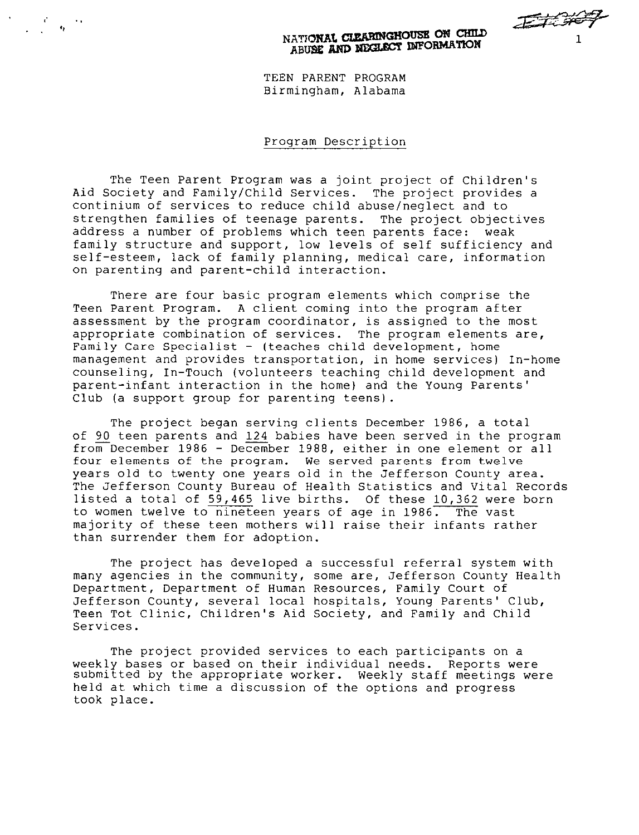JEJE SPER NATIONAL CLEARINGHOUSE ON CHILD ANONAL CLEARINGHOUSE ON TION

TEEN PARENT PROGRAM Birmingham, Alabama

.,

. . ,,

### Program Description

The Teen Parent Program was a joint project of Children's Aid Society and Family/Child Services. The project provides a continium of services to reduce child abuse/neglect and to strengthen families of teenage parents. The project objectives address a number of problems which teen parents face: weak family structure and support, low levels of self sufficiency and self-esteem, lack of family planning, medical care, information on parenting and parent-child interaction.

There are four basic program elements which comprise the Teen Parent Program. A client coming into the program after assessment by the program coordinator, is assigned to the most appropriate combination of services. The program elements are, Family Care Specialist - (teaches child development, home management and provides transportation, in home services) In-home counseling, In-Touch (volunteers teaching child development and parent-infant interaction in the home) and the Young Parents' Club (a support group for parenting teens).

The project began serving clients December 1986, a total of 90 teen parents and 124 babies have been served in the program from December 1986 - December 1988, either in one element or all four elements of the program. We served parents from twelve years old to twenty one years old in the Jefferson County area. The Jefferson County Bureau of Health Statistics and Vital Records listed a total of 59,465 live births. Of these 10,362 were born to women twelve to nineteen years of age in 1986. The vast majority of these teen mothers will raise their infants rather than surrender them for adoption.

The project has developed a successful referral system with many agencies in the community, some are, Jefferson County Health Department, Department of Human Resources, Family Court of Jefferson County, several local hospitals, Young Parents' Club, Teen Tot Clinic, Children's Aid Society, and Family and Child Services.

The project provided services to each participants on a weekly bases or based on their individual needs. Reports were submitted by the appropriate worker. Weekly staff meetings were held at which time a discussion of the options and progress took place.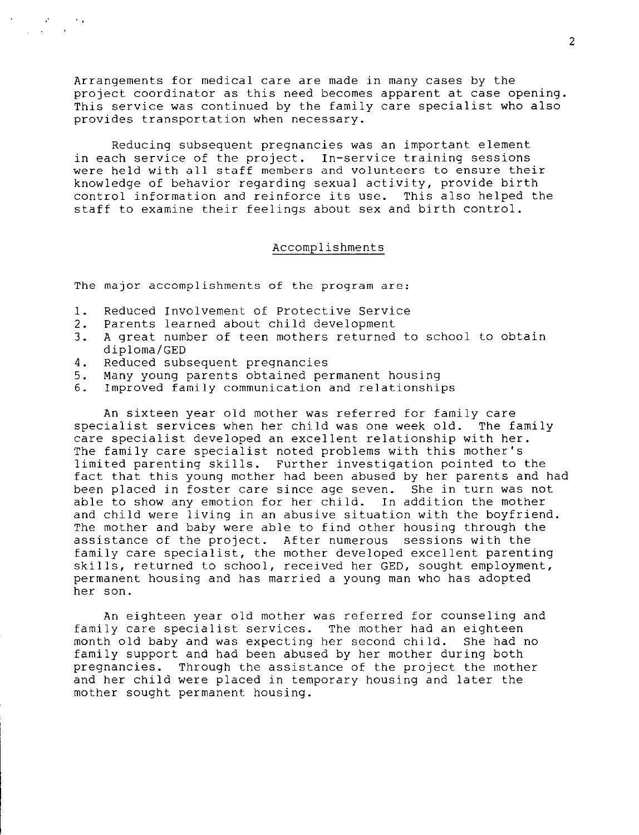Arrangements for medical care are made in many cases by the project coordinator as this need becomes apparent at case opening. This service was continued by the family care specialist who also provides transportation when necessary.

Reducing subsequent pregnancies was an important element in each service of the project. In-service training sessions were held with all staff members and volunteers to ensure their knowledge of behavior regarding sexual activity, provide birth<br>control information and reinforce its use. This also helped the control information and reinforce its use. staff to examine their feelings about sex and birth control.

## Accomplishments

The major accomplishments of the program are:

- 1. Reduced Involvement of Protective Service
- 2. Parents learned about child development
- 3. A great number of teen mothers returned to school to obtain diploma/GED
- 4. Reduced subsequent pregnancies
- 5. Many young parents obtained permanent housing
- 6. Improved family communication and relationships

An sixteen year old mother was referred for family care specialist services when her child was one week old. The family care specialist developed an excellent relationship with her. The family care specialist noted problems with this mother's limited parenting skills. Further investigation pointed to the fact that this young mother had been abused by her parents and had been placed in foster care since age seven. She in turn was not able to show any emotion for her child. In addition the mother and child were living in an abusive situation with the boyfriend. The mother and baby were able to find other housing through the assistance of the project. After numerous sessions with the family care specialist, the mother developed excellent parenting skills, returned to school, received her GED, sought employment, permanent housing and has married a young man who has adopted her son.

An eighteen year old mother was referred for counseling and family care specialist services. The mother had an eighteen month old baby and was expecting her second child. She had no family support and had been abused by her mother during both pregnancies. Through the assistance of the project the mother and her child were placed in temporary housing and later the mother sought permanent housing.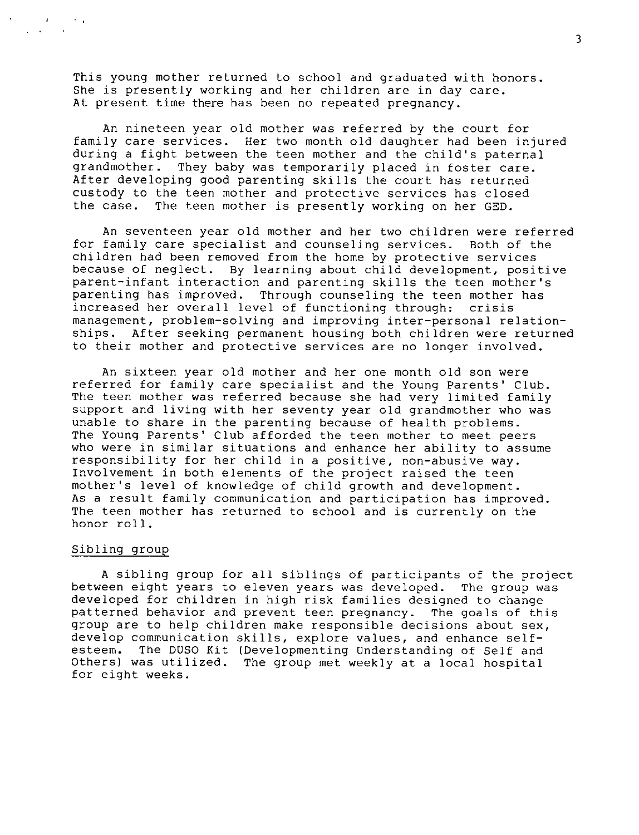This young mother returned to school and graduated with honors. She is presently working and her children are in day care. At present time there has been no repeated pregnancy.

An nineteen year old mother was referred by the court for family care services. Her two month old daughter had been injured during a fight between the teen mother and the child's paternal grandmother. They baby was temporarily placed in foster care. After developing good parenting skills the court has returned custody to the teen mother and protective services has closed the case. The teen mother is presently working on her GED.

An seventeen year old mother and her two children were referred for family care specialist and counseling services. Both of the children had been removed from the home by protective services because of neglect. By learning about child development, positive parent-infant interaction and parenting skills the teen mother's parenting has improved. Through counseling the teen mother has increased her overall level of functioning through: crisis management, problem-solving and improving inter-personal relationships. After seeking permanent housing both children were returned to their mother and protective services are no longer involved.

An sixteen year old mother and her one month old son were referred for family care specialist and the Young Parents' Club. The teen mother was referred because she had very limited family support and living with her seventy year old grandmother who was unable to share in the parenting because of health problems. The Young Parents' Club afforded the teen mother to meet peers who were in similar situations and enhance her ability to assume responsibility for her child in a positive, non-abusive way. Involvement in both elements of the project raised the teen mother's level of knowledge of child growth and development. As a result family communication and participation has improved. The teen mother has returned to school and is currently on the honor roll.

## Sibling group

A sibling group for all siblings of participants of the project between eight years to eleven years was developed. The group was developed for children in high risk families designed to change patterned behavior and prevent teen pregnancy. The goals of this group are to help children make responsible decisions about sex, develop communication skills, explore values, and enhance self-<br>esteem. The DUSO Kit (Developmenting Understanding of Self and The DUSO Kit (Developmenting Understanding of Self and Others) was utilized. The group met weekly at a local hospital for eight weeks.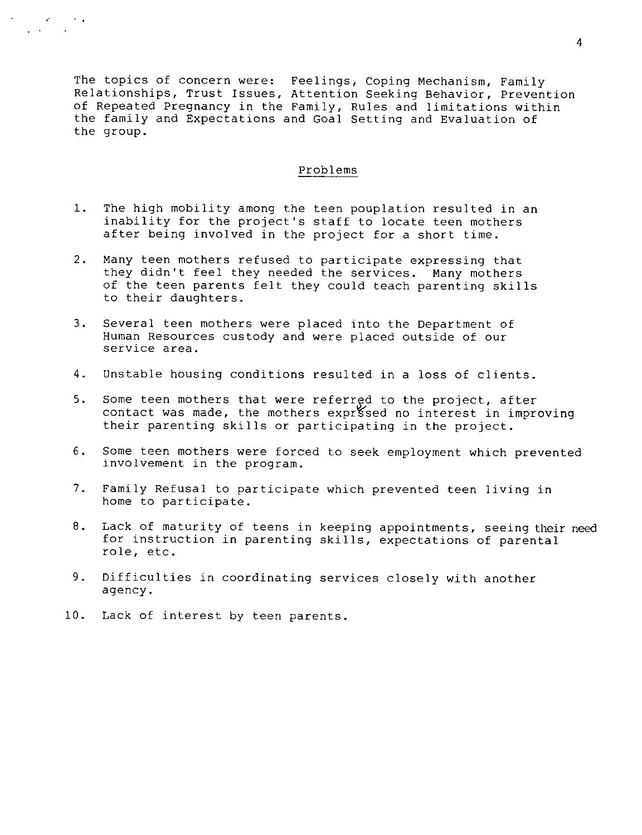The topics of concern were: Feelings, Coping Mechanism, Family Relationships, Trust Issues, Attention Seeking Behavior, Prevention of Repeated Pregnancy in the Family, Rules and limitations within the family and Expectations and Goal Setting and Evaluation of the group.

# Problems

- 1. The high mobility among the teen pouplation resulted in an inability for the project's staff to locate teen mothers after being involved in the project for a short time.
- 2. Many teen mothers refused to participate expressing that they didn't feel they needed the services. Many mothers of the teen parents felt they could teach parenting skills to their daughters.
- 3. Several teen mothers were placed into the Department of Human Resources custody and were placed outside of our service area.
- 4. Unstable housing conditions resulted in a loss of clients.
- 5. Some teen mothers that were referred to the project, after contact was made, the mothers exprised no interest in improving their parenting skills or participating in the project.
- 6. Some teen mothers were forced to seek employment which prevented involvement in the program.
- ?. Family Refusal to participate which prevented teen living in home to participate.
- 8. Lack of maturity of teens in keeping appointments, seeing their need for instruction in parenting skills, expectations of parental role, etc.
- 9. Difficulties in coordinating services closely with another agency.
- **10.** Lack of interest by teen parents.

 $\sigma_{\rm c}$  , , , , , ,

,.,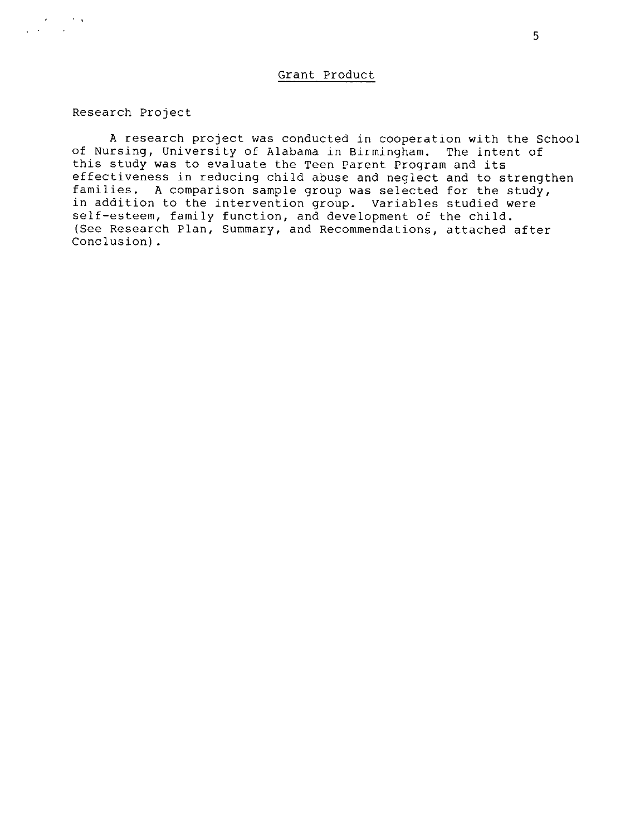Research Project

,.!

A research project was conducted in cooperation with the School of Nursing, University of Alabama in Birmingham. The intent of this study was to evaluate the Teen Parent Program and its effectiveness in reducing child abuse and neglect and to strengthen families. A comparison sample group was selected for the study, in addition to the intervention group. Variables studied were self-esteem, family function, and development of the child. (See Research Plan, Summary, and Recommendations, attached after Conclusion) .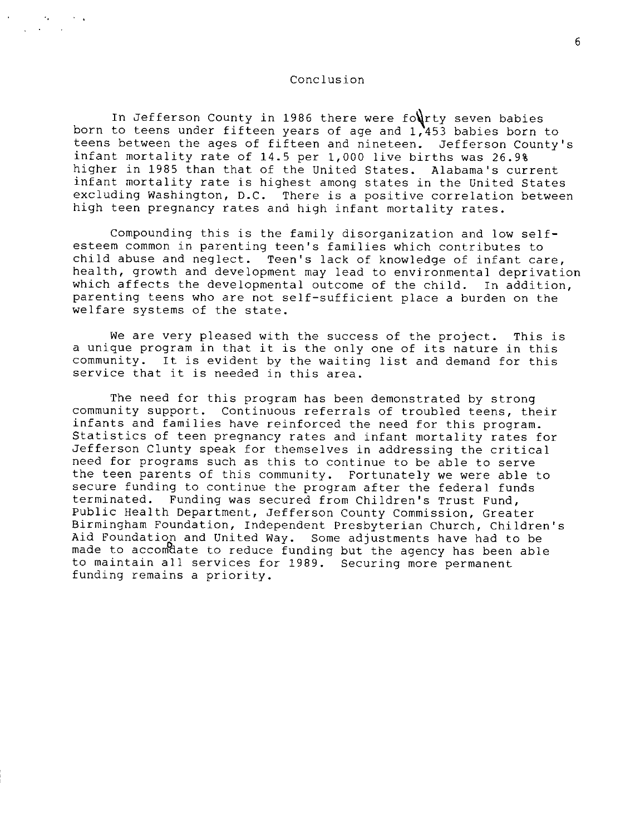#### Conclusion

born to teens under fifteen years of age and 1,453 babies born to In Jefferson County in 1986 there were fourty seven babies teens between the ages of fifteen and nineteen. Jefferson County's infant mortality rate of 14.5 per 1,000 live births was 26.9% higher in 1985 than that of the United States. Alabama's current infant mortality rate is highest among states in the United States excluding Washington, D.C. There is a positive correlation between high teen pregnancy rates and high infant mortality rates.

Compounding this is the family disorganization and low self esteem common in parenting teen's families which contributes to child abuse and neglect. Teen's lack of knowledge of infant care, health, growth and development may lead to environmental deprivation which affects the developmental outcome of the child. In addition, parenting teens who are not self-sufficient place a burden on the welfare systems of the state.

We are very pleased with the success of the project. This is a unique program in that it is the only one of its nature in this community. It is evident by the waiting list and demand for this service that it is needed in this area.

The need for this program has been demonstrated by strong community support. Continuous referrals of troubled teens, their infants and families have reinforced the need for this program. Statistics of teen pregnancy rates and infant mortality rates for Jefferson Clunty speak for themselves in addressing the critical need for programs such as this to continue to be able to serve the teen parents of this community. Fortunately we were able to secure funding to continue the program after the federal funds terminated. Funding was secured from Children's Trust Fund, Public Health Department, Jefferson County Commission, Greater Birmingham Foundation, Independent Presbyterian Church, Children's Aid Foundation and United Way. Some adjustments have had to be made to accomdate to reduce funding but the agency has been able to maintain all services for 1989. Securing more permanent funding remains a priority.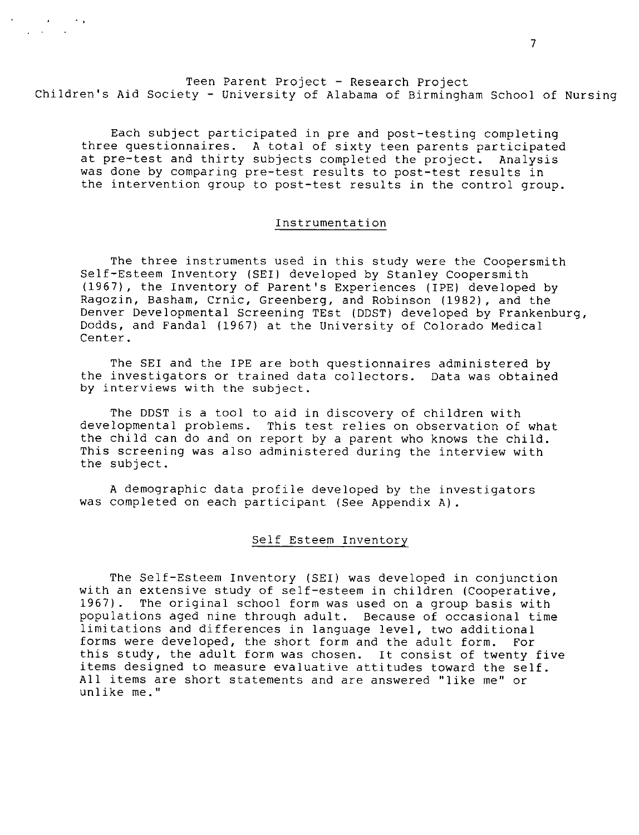Teen Parent Project - Research Project Children's Aid Society - University of Alabama of Birmingham School of Nursing

,, .,

Each subject participated in pre and post-testing completing three questionnaires. A total of sixty teen parents participated at pre-test and thirty subjects completed the project. Analysis was done by comparing pre-test results to post-test results in the intervention group to post-test results in the control group.

# Instrumentation

The three instruments used in this study were the Coopersmith Self-Esteem Inventory (SEI) developed by Stanley Coppersmith (1967), the Inventory of Parent's Experiences (IPE) developed by Ragozin, Basham, Crnic, Greenberg, and Robinson (1982), and the Denver Developmental Screening TEst (DDST) developed by Frankenburg, Dodds , and Fandal (1967) at the University of Colorado Medical Center.

The SEI and the IPE are both questionnaires administered by the investigators or trained data collectors. Data was obtained by interviews with the subject.

The DDST is a tool to aid in discovery of children with developmental problems. This test relies on observation of what the child can do and on report by a parent who knows the child. This screening was also administered during the interview with the subject.

A demographic data profile developed by the investigators was completed on each participant (See Appendix A) .

#### Self Esteem Inventory

The Self-Esteem Inventory (SEI) was developed in conjunction with an extensive study of self-esteem in children (Cooperative,<br>1967). The original school form was used on a group basis with The original school form was used on a group basis with populations aged nine through adult. Because of occasional time limitations and differences in language level, two additional<br>forms were developed, the short form and the adult form. For forms were developed, the short form and the adult form. this study, the adult form was chosen. It consist of twenty five items designed to measure evaluative attitudes toward the self. All items are short statements and are answered "like me" or unlike me."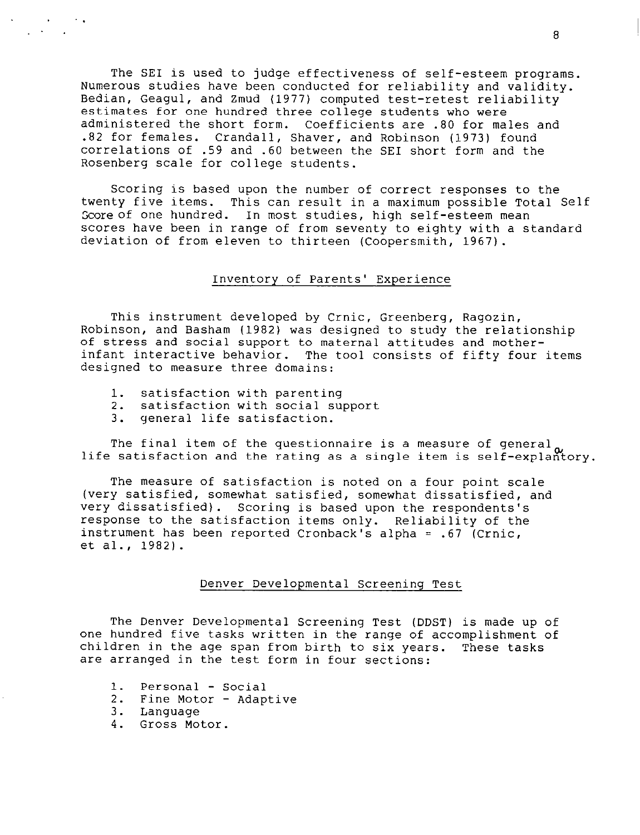The SEI is used to judge effectiveness of self-esteem programs. Numerous studies have been conducted for reliability and validity. Bedian, Geagul, and Zmud (1977) computed test-retest reliability estimates for one hundred three college students who were administered the short form. Coefficients are .80 for males and .82 for females. Crandall, Shaver, and Robinson (1973) found correlations of .59 and .60 between the SEI short form and the Rosenberg scale for college students.

Scoring is based upon the number of correct responses to the twenty five items. This can result in a maximum possible Total Self Score of one hundred. In most studies, high self-esteem mean scores have been in range of from seventy to eighty with a standard deviation of from eleven to thirteen (Coopersmith, 1967).

# Inventory of Parents' Experience

This instrument developed by Crnic, Greenberg, Ragozin, Robinson, and Basham (1982) was designed to study the relationship of stress and social support to maternal attitudes and motherinfant interactive behavior. The tool consists of fifty four items designed to measure three domains:

- 1. satisfaction with parenting
- 2. satisfaction with social support
- 3. general life satisfaction.

The final item of the questionnaire is a measure of general, life satisfaction and the rating as a single item is self-explantory.

The measure of satisfaction is noted on a four point scale (very satisfied, somewhat satisfied, somewhat dissatisfied, and very dissatisfied). Scoring is based upon the respondents's response to the satisfaction items only. Reliability of the instrument has been reported Cronback's alpha = .67 (Crnic, et al., 1982).

## Denver Developmental Screening Test

The Denver Developmental Screening Test (DDST) is made up of one hundred five tasks written in the range of accomplishment of children in the age span from birth to six years. These tasks are arranged in the test form in four sections:

- 1. Personal Social
- 2. Fine Motor Adaptive
- 3. Language

. . .

4. Gross Motor.

8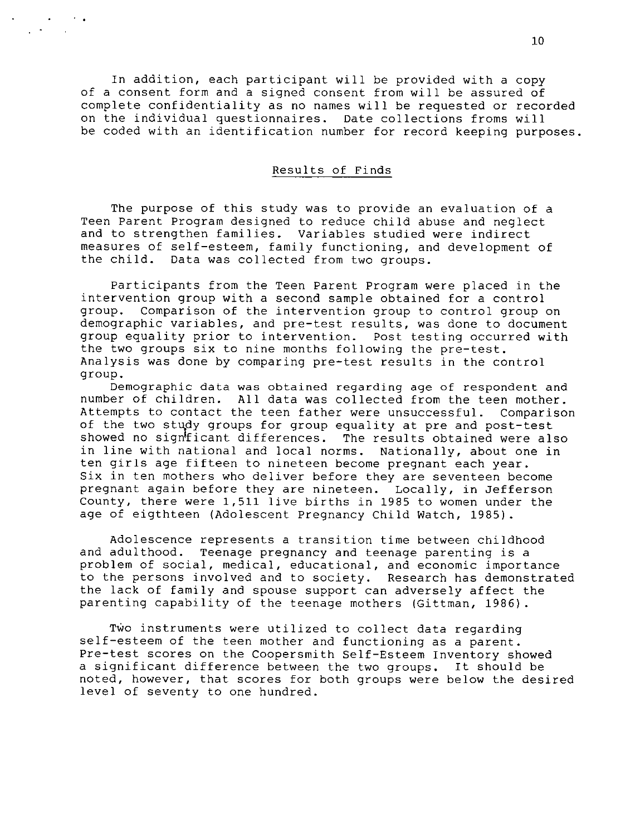In addition, each participant will be provided with a copy of a consent form and a signed consent from will be assured of complete confidentiality as no names will be requested or recorded on the individual questionnaires. Date collections froms will be coded with an identification number for record keeping purposes.

. . .

, . ,

# Results of Finds

The purpose of this study was to provide an evaluation of a Teen Parent Program designed to reduce child abuse and neglect and to strengthen families. Variables studied were indirect measures of self-esteem, family functioning, and development of the child. Data was collected from two groups.

Participants from the Teen Parent Program were placed in the intervention group with a second sample obtained for a control group. Comparison of the intervention group to control group on demographic variables, and pre-test results, was done to document group equality prior to intervention. Post testing occurred with the two groups six to nine months following the pre-test. Analysis was done by comparing pre-test results in the control group.

Demographic data was obtained regarding age of respondent and number of children. All data was collected from the teen mother. Attempts to contact the teen father were unsuccessful. Comparison of the two study groups for group equality at pre and post-test showed no signflicant differences. The results obtained were also<br>in line with national and local norms. Nationally, about one in in line with national and local norms. ten girls age fifteen to nineteen become pregnant each year. Six in ten mothers who deliver before they are seventeen become pregnant again before they are nineteen. Locally, in Jefferson County, there were 1,511 live births in 1985 to women under the age of eigthteen (Adolescent Pregnancy Child Watch, 1985) .

Adolescence represents a transition time between childhood and adulthood. Teenage pregnancy and teenage parenting is a problem of social, medical, educational, and economic importance to the persons involved and to society. Research has demonstrated the lack of family and spouse support can adversely affect the parenting capability of the teenage mothers (Gittman, 1986).

TWO instruments were utilized to collect data regarding self-esteem of the teen mother and functioning as a parent. Pre-test scores on the Coopersmith Self-Esteem Inventory showed a significant difference between the two groups. It should be noted, however, that scores for both groups were below the desired level of seventy to one hundred.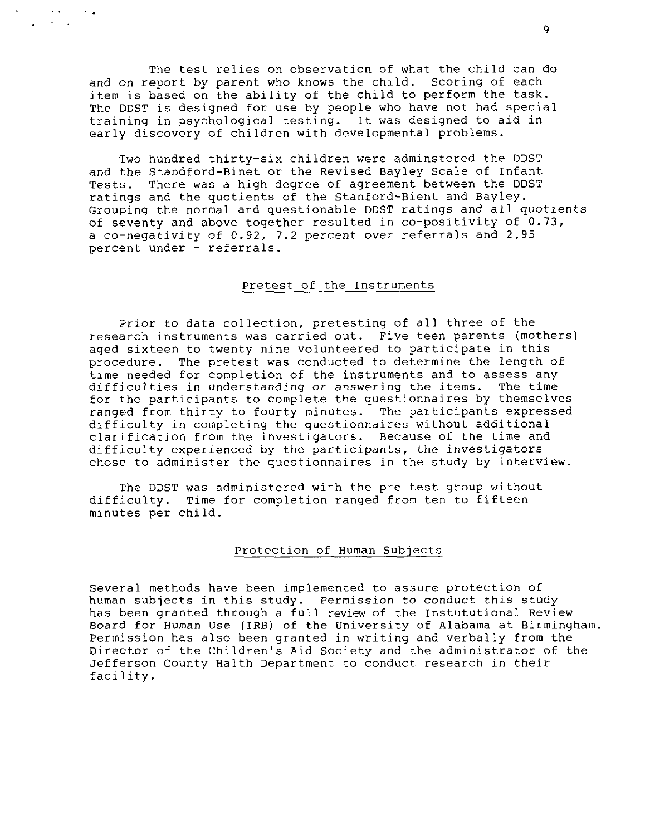The test relies on observation of what the child can do and on report by parent who knows the child. Scoring of each item is based on the ability of the child to perform the task. The DDST is designed for use by people who have not had special training in psychological testing. It was designed to aid in early discovery of children with developmental problems.

. . . . . . .

> Two hundred thirty-six children were adminstered the DDST and the Standford-Binet or the Revised Bayley Scale of Infant Tests. There was a high degree of agreement between the DDST ratings and the quotients of the Stanford-Bient and Bayley. Grouping the normal and questionable DDST ratings and all quotients of seventy and above together resulted in co-positivity of 0.73, a co-negativity of 0.92, 7.2 percent over referrals and 2.95 percent under - referrals.

## Pretest of the Instruments

Prior to data collection, pretesting of all three of the research instruments was carried out. Five teen parents (mothers) aged sixteen to twenty nine volunteered to participate in this procedure. The pretest was conducted to determine the length of time needed for completion of the instruments and to assess any difficulties in understanding or answering the items. The time for the participants to complete the questionnaires by themselves ranged from thirty to fourty minutes. The participants expressed difficulty in completing the questionnaires without additional clarification from the investigators. Because of the time and difficulty experienced by the participants, the investigators chose to administer the questionnaires in the study by interview.

The DDST was administered with the pre test group without difficulty. Time for completion ranged from ten to fifteen minutes per child.

## Protection of Human Subjects

Several methods have been implemented to assure protection of human subjects in this study. Permission to conduct this study has been granted through a full review of the Instututional Review Board for Human Use (IRB) of the University of Alabama at Birmingham. Permission has also been granted in writing and verbally from the Director of the Children's Aid Society and the administrator of the Jefferson County Halth Department to conduct research in their facility.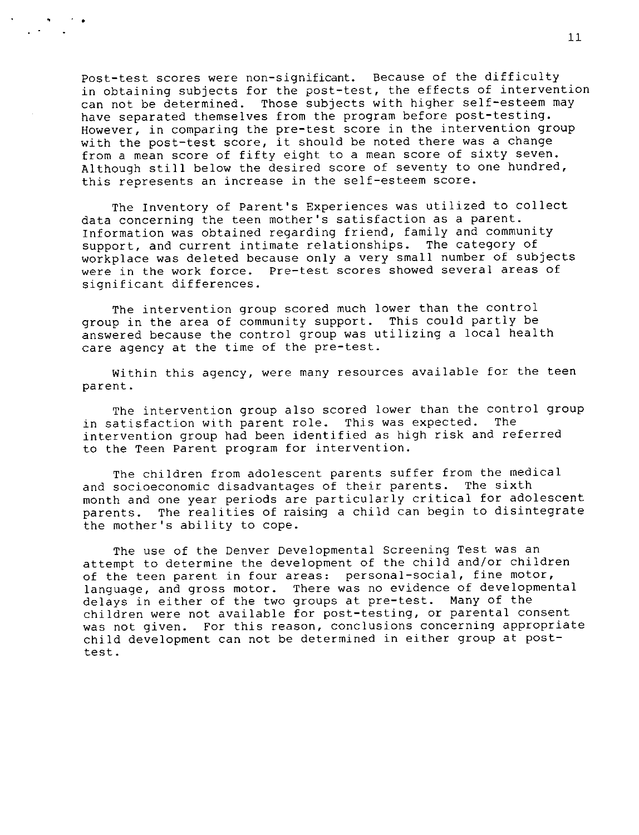Post-test scores were non-significant. Because of the difficulty in obtaining subjects for the post-test, the effects of intervention can not be determined. Those subjects with higher self-esteem may have separated themselves from the program before post-testing. However, in comparing the pre-test score in the intervention group with the post-test score, it should be noted there was a change from a mean score of fifty eight to a mean score of sixty seven. Although still below the desired score of seventy to one hundred, this represents an increase in the self-esteem score.

., ,. . . .

> The Inventory of Parent's Experiences was utilized to collect data concerning the teen mother's satisfaction as a parent. Information was obtained regarding friend, family and community support, and current intimate relationships. The category of workplace was deleted because only a very small number of subjects were in the work force. Pre-test scores showed several areas of significant differences.

The intervention group scored much lower than the control group in the area of community support. This could partly be answered because the control group was utilizing a local health care agency at the time of the pre-test.

Within this agency, were many resources available for the teen parent.

The intervention group also scored lower than the control group<br>atisfaction with parent role. This was expected. The in satisfaction with parent role. This was expected. intervention group had been identified as high risk and referred to the Teen Parent program for intervention.

The children from adolescent parents suffer from the medical and socioeconomic disadvantages of their parents. The sixth month and one year periods are particularly critical for adolescent parents. The realities of raising a child can begin to disintegrate the mother's ability to cope.

The use of the Denver Developmental Screening Test was an attempt to determine the development of the child and/or children of the teen parent in four areas: personal-social, fine motor, language, and gross motor. There was no evidence of developmental delays in either of the two groups at pre-test. Many of the children were not available for post-testing, or parental consent was not given. For this reason, conclusions concerning appropriate child development can not be determined in either group at posttest.